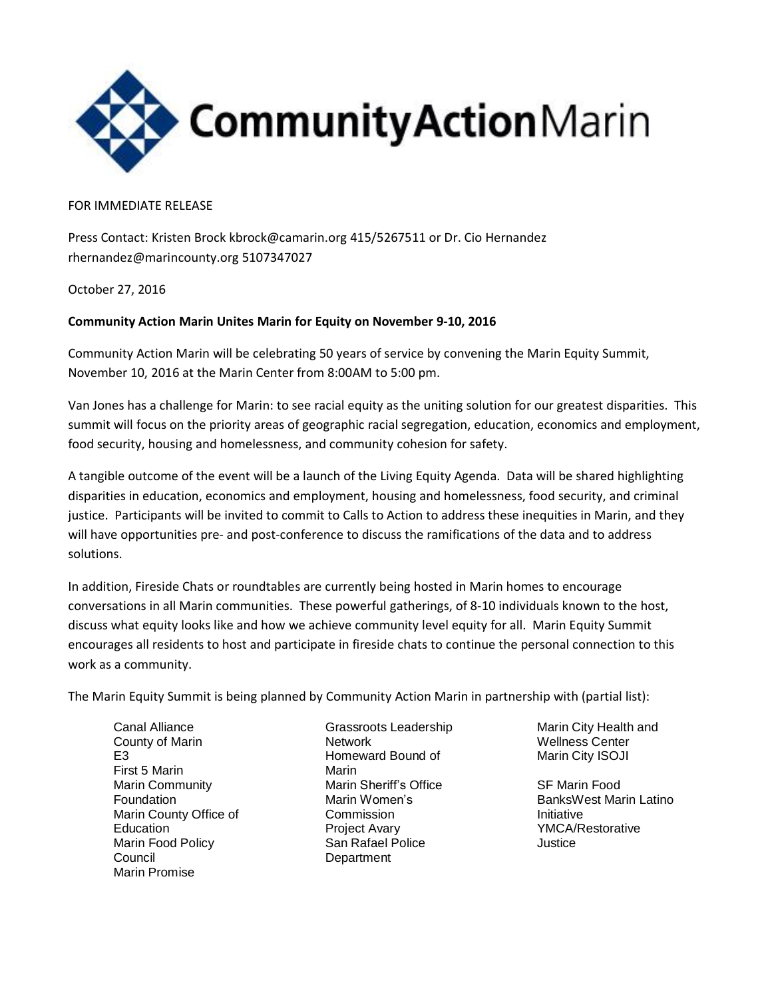

FOR IMMEDIATE RELEASE

Press Contact: Kristen Brock kbrock@camarin.org 415/5267511 or Dr. Cio Hernandez rhernandez@marincounty.org 5107347027

October 27, 2016

## **Community Action Marin Unites Marin for Equity on November 9-10, 2016**

Community Action Marin will be celebrating 50 years of service by convening the Marin Equity Summit, November 10, 2016 at the Marin Center from 8:00AM to 5:00 pm.

Van Jones has a challenge for Marin: to see racial equity as the uniting solution for our greatest disparities. This summit will focus on the priority areas of geographic racial segregation, education, economics and employment, food security, housing and homelessness, and community cohesion for safety.

A tangible outcome of the event will be a launch of the Living Equity Agenda. Data will be shared highlighting disparities in education, economics and employment, housing and homelessness, food security, and criminal justice. Participants will be invited to commit to Calls to Action to address these inequities in Marin, and they will have opportunities pre- and post-conference to discuss the ramifications of the data and to address solutions.

In addition, Fireside Chats or roundtables are currently being hosted in Marin homes to encourage conversations in all Marin communities. These powerful gatherings, of 8-10 individuals known to the host, discuss what equity looks like and how we achieve community level equity for all. Marin Equity Summit encourages all residents to host and participate in fireside chats to continue the personal connection to this work as a community.

The Marin Equity Summit is being planned by Community Action Marin in partnership with (partial list):

Canal Alliance County of Marin E3 First 5 Marin Marin Community Foundation Marin County Office of **Education** Marin Food Policy Council Marin Promise

Grassroots Leadership Network Homeward Bound of Marin Marin Sheriff's Office Marin Women's **Commission** Project Avary San Rafael Police **Department** 

Marin City Health and Wellness Center Marin City ISOJI

SF Marin Food BanksWest Marin Latino Initiative YMCA/Restorative Justice